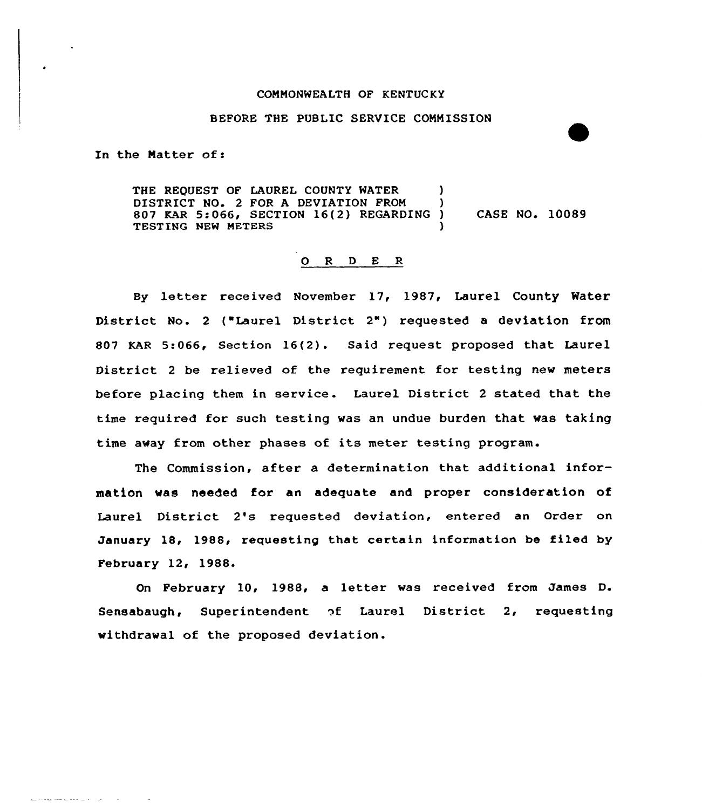#### COMNONWEALTH OF KENTUCKY

#### BEFORE THE PUBLIC SERVICE COMMISSION

In the Natter of:

THE REQUEST OF LAUREL COUNTY WATER  $)$ DISTRICT NO. 2 FOR A DEVIATION FROM ) 807 KAR 5:066, SECTION 16(2) REGARDING ) CASE NO. 10089 TESTING NEW METERS

# 0 <sup>R</sup> <sup>D</sup> E R

By letter received November 17, 1987, Laurel County Water District No. 2 ("Laurel District 2") requested a deviation from 807 KAR 5:066, Section 16(2). Said request proposed that Laurel District <sup>2</sup> be relieved of the requirement for testing new meters before placing them in service . Laurel District <sup>2</sup> stated that the time required for such testing was an undue burden that was taking time away from other phases of its meter testing program.

The Commission, after a determination that additional information was needed for an adequate and proper consideration of Laurel District 2's requested deviation, entered an Order on January 18, 1988, requesting that certain information be filed by February 12, 1988.

On February 10, 1988, a letter was received from James D. Sensabaugh, Superintendent of Laurel District 2, requesting withdrawal of the proposed deviation.